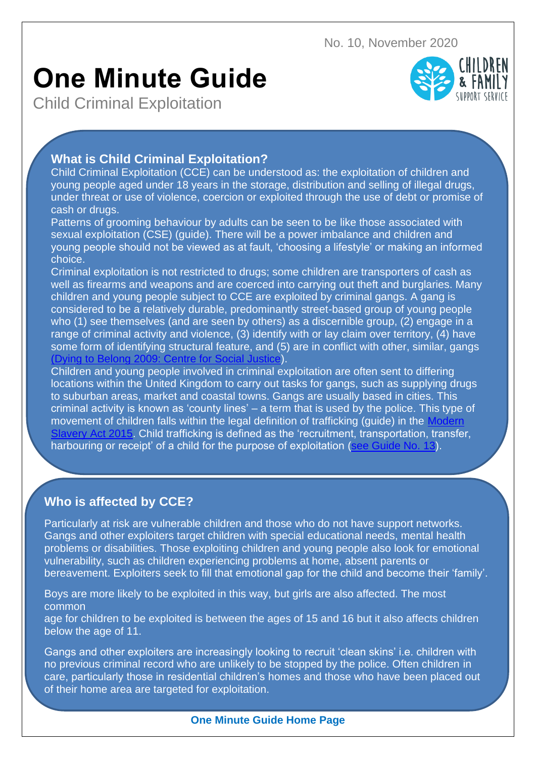No. 10, November 2020

# **One Minute Guide**

Child Criminal Exploitation



## **What is Child Criminal Exploitation?**

Child Criminal Exploitation (CCE) can be understood as: the exploitation of children and young people aged under 18 years in the storage, distribution and selling of illegal drugs, under threat or use of violence, coercion or exploited through the use of debt or promise of cash or drugs.

Patterns of grooming behaviour by adults can be seen to be like those associated with sexual exploitation (CSE) (guide). There will be a power imbalance and children and young people should not be viewed as at fault, 'choosing a lifestyle' or making an informed choice.

Criminal exploitation is not restricted to drugs; some children are transporters of cash as well as firearms and weapons and are coerced into carrying out theft and burglaries. Many children and young people subject to CCE are exploited by criminal gangs. A gang is considered to be a relatively durable, predominantly street-based group of young people who (1) see themselves (and are seen by others) as a discernible group, (2) engage in a range of criminal activity and violence, (3) identify with or lay claim over territory, (4) have some form of identifying structural feature, and (5) are in conflict with other, similar, gangs [\(Dying to Belong 2009: Centre for Social Justice\)](https://www.centreforsocialjustice.org.uk/core/wp-content/uploads/2016/08/DyingtoBelongFullReport.pdf).

Children and young people involved in criminal exploitation are often sent to differing locations within the United Kingdom to carry out tasks for gangs, such as supplying drugs to suburban areas, market and coastal towns. Gangs are usually based in cities. This criminal activity is known as 'county lines' – a term that is used by the police. This type of movement of children falls within the legal definition of trafficking (quide) in the Modern ery Act 2015. Child trafficking is defined as the 'recruitment, transportation, transfer, harbouring or receipt' of a child for the purpose of exploitation [\(see Guide No. 13\)](https://api.warwickshire.gov.uk/documents/WCCC-1642278725-4671).

CCE needs to be viewed in the context of broader vulnerabilities and other forms of

exploitation and abuse. This could be within families, communities or more sophisticated

### organised crime groups. There needs to be consideration around the overlap and links **Who is affected by CCE?** between familial violence and/or criminality, trauma, peer to peer abuse, CSE, gang

Particularly at risk are vulnerable children and those who do not have support networks. Gangs and other exploiters target children with special educational needs, mental health problems or disabilities. Those exploiting children and young people also look for emotional vulnerability, such as children experiencing problems at home, absent parents or bereavement. Exploiters seek to fill that emotional gap for the child and become their 'family'.

Boys are more likely to be exploited in this way, but girls are also affected. The most common

age for children to be exploited is between the ages of 15 and 16 but it also affects children below the age of 11.

Gangs and other exploiters are increasingly looking to recruit 'clean skins' i.e. children with no previous criminal record who are unlikely to be stopped by the police. Often children in care, particularly those in residential children's homes and those who have been placed out of their home area are targeted for exploitation.

### **One Minute Guide Home Page**